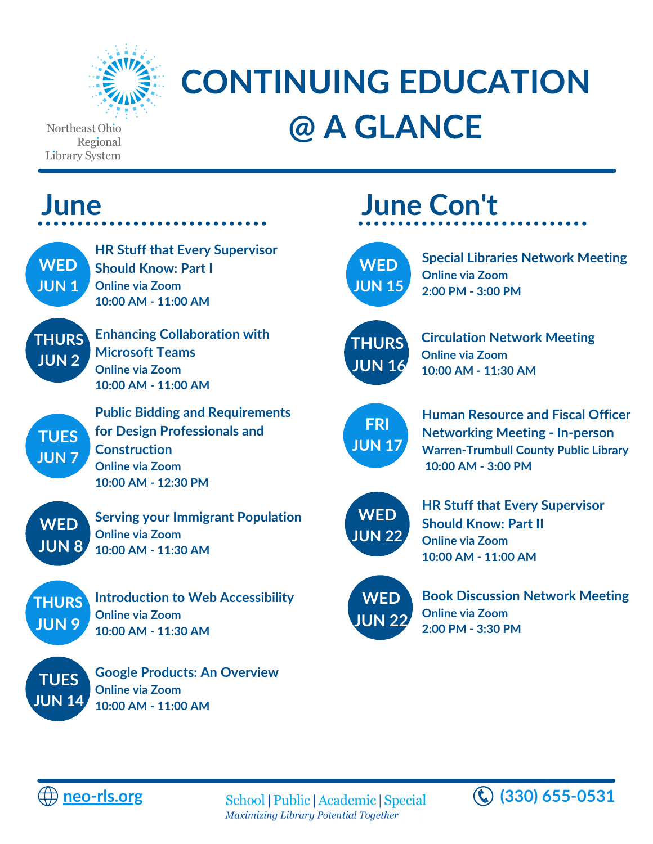

## **CONTINUING EDUCATION @ A GLANCE**

Northeast Ohio Regional Library System

| June                                                                                                                                                                         | <b>June Con't</b>                                                                                                                                                                      |  |
|------------------------------------------------------------------------------------------------------------------------------------------------------------------------------|----------------------------------------------------------------------------------------------------------------------------------------------------------------------------------------|--|
| <b>HR Stuff that Every Supervisor</b><br><b>WED</b><br><b>Should Know: Part I</b><br><b>JUN1</b><br><b>Online via Zoom</b><br>10:00 AM - 11:00 AM                            | <b>Special Libraries Network Meeting</b><br><b>WED</b><br><b>Online via Zoom</b><br><b>JUN 15</b><br>2:00 PM - 3:00 PM                                                                 |  |
| <b>Enhancing Collaboration with</b><br><b>THURS</b><br><b>Microsoft Teams</b><br><b>JUN2</b><br><b>Online via Zoom</b><br>10:00 AM - 11:00 AM                                | <b>Circulation Network Meeting</b><br><b>THURS</b><br><b>Online via Zoom</b><br><b>JUN 16</b><br>10:00 AM - 11:30 AM                                                                   |  |
| <b>Public Bidding and Requirements</b><br>for Design Professionals and<br><b>TUES</b><br><b>Construction</b><br><b>JUN7</b><br><b>Online via Zoom</b><br>10:00 AM - 12:30 PM | <b>Human Resource and Fiscal Officer</b><br><b>FRI</b><br><b>Networking Meeting - In-person</b><br><b>JUN 17</b><br><b>Warren-Trumbull County Public Library</b><br>10:00 AM - 3:00 PM |  |
| <b>Serving your Immigrant Population</b><br><b>WED</b><br><b>Online via Zoom</b><br><b>JUN 8</b><br>10:00 AM - 11:30 AM                                                      | <b>HR Stuff that Every Supervisor</b><br><b>WED</b><br><b>Should Know: Part II</b><br><b>JUN 22</b><br><b>Online via Zoom</b><br>10:00 AM - 11:00 AM                                   |  |
| <b>Introduction to Web Accessibility</b><br><b>THURS</b><br><b>Online via Zoom</b><br><b>JUN 9</b><br>10:00 AM - 11:30 AM                                                    | <b>Book Discussion Network Meeting</b><br><b>WED</b><br><b>Online via Zoom</b><br><b>JUN 22</b><br>2:00 PM - 3:30 PM                                                                   |  |
| <b>Google Products: An Overview</b><br><b>TUES</b><br><b>Online via Zoom</b><br><b>JUN 14</b><br>10:00 AM - 11:00 AM                                                         |                                                                                                                                                                                        |  |



**[neo-rls.org](https://mms.neo-rls.org/members/calendar6c_responsive.php?org_id=NEOL) (330) 655-0531** Maximizing Library Potential Together